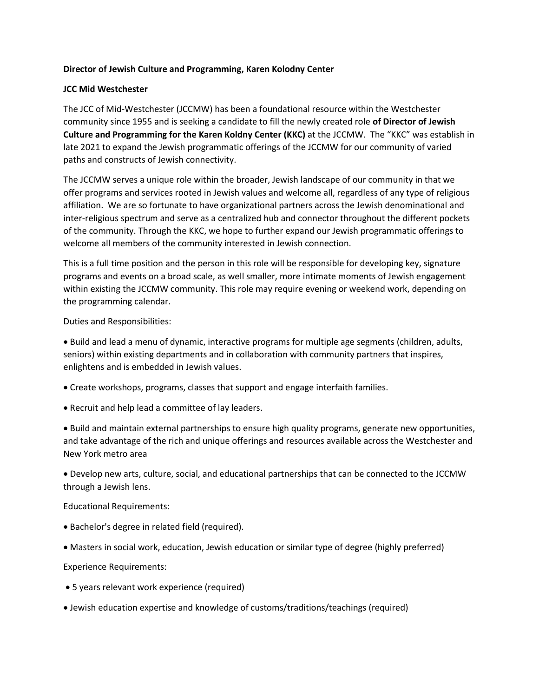## **Director of Jewish Culture and Programming, Karen Kolodny Center**

## **JCC Mid Westchester**

The JCC of Mid-Westchester (JCCMW) has been a foundational resource within the Westchester community since 1955 and is seeking a candidate to fill the newly created role **of Director of Jewish Culture and Programming for the Karen Koldny Center (KKC)** at the JCCMW. The "KKC" was establish in late 2021 to expand the Jewish programmatic offerings of the JCCMW for our community of varied paths and constructs of Jewish connectivity.

The JCCMW serves a unique role within the broader, Jewish landscape of our community in that we offer programs and services rooted in Jewish values and welcome all, regardless of any type of religious affiliation. We are so fortunate to have organizational partners across the Jewish denominational and inter-religious spectrum and serve as a centralized hub and connector throughout the different pockets of the community. Through the KKC, we hope to further expand our Jewish programmatic offerings to welcome all members of the community interested in Jewish connection.

This is a full time position and the person in this role will be responsible for developing key, signature programs and events on a broad scale, as well smaller, more intimate moments of Jewish engagement within existing the JCCMW community. This role may require evening or weekend work, depending on the programming calendar.

Duties and Responsibilities:

 Build and lead a menu of dynamic, interactive programs for multiple age segments (children, adults, seniors) within existing departments and in collaboration with community partners that inspires, enlightens and is embedded in Jewish values.

- Create workshops, programs, classes that support and engage interfaith families.
- Recruit and help lead a committee of lay leaders.

 Build and maintain external partnerships to ensure high quality programs, generate new opportunities, and take advantage of the rich and unique offerings and resources available across the Westchester and New York metro area

 Develop new arts, culture, social, and educational partnerships that can be connected to the JCCMW through a Jewish lens.

Educational Requirements:

- Bachelor's degree in related field (required).
- Masters in social work, education, Jewish education or similar type of degree (highly preferred)

Experience Requirements:

- 5 years relevant work experience (required)
- Jewish education expertise and knowledge of customs/traditions/teachings (required)